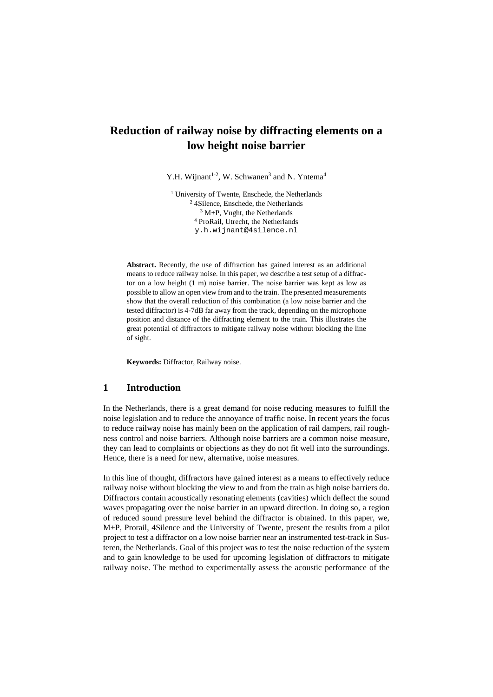# **Reduction of railway noise by diffracting elements on a low height noise barrier**

Y.H. Wijnant<sup>1-2</sup>, W. Schwanen<sup>3</sup> and N. Yntema<sup>4</sup>

<sup>1</sup> University of Twente, Enschede, the Netherlands <sup>2</sup> 4Silence, Enschede, the Netherlands <sup>3</sup> M+P, Vught, the Netherlands <sup>4</sup> ProRail, Utrecht, the Netherlands y.h.wijnant@4silence.nl

**Abstract.** Recently, the use of diffraction has gained interest as an additional means to reduce railway noise. In this paper, we describe a test setup of a diffractor on a low height (1 m) noise barrier. The noise barrier was kept as low as possible to allow an open view from and to the train. The presented measurements show that the overall reduction of this combination (a low noise barrier and the tested diffractor) is 4-7dB far away from the track, depending on the microphone position and distance of the diffracting element to the train. This illustrates the great potential of diffractors to mitigate railway noise without blocking the line of sight.

**Keywords:** Diffractor, Railway noise.

## **1 Introduction**

In the Netherlands, there is a great demand for noise reducing measures to fulfill the noise legislation and to reduce the annoyance of traffic noise. In recent years the focus to reduce railway noise has mainly been on the application of rail dampers, rail roughness control and noise barriers. Although noise barriers are a common noise measure, they can lead to complaints or objections as they do not fit well into the surroundings. Hence, there is a need for new, alternative, noise measures.

In this line of thought, diffractors have gained interest as a means to effectively reduce railway noise without blocking the view to and from the train as high noise barriers do. Diffractors contain acoustically resonating elements (cavities) which deflect the sound waves propagating over the noise barrier in an upward direction. In doing so, a region of reduced sound pressure level behind the diffractor is obtained. In this paper, we, M+P, Prorail, 4Silence and the University of Twente, present the results from a pilot project to test a diffractor on a low noise barrier near an instrumented test-track in Susteren, the Netherlands. Goal of this project was to test the noise reduction of the system and to gain knowledge to be used for upcoming legislation of diffractors to mitigate railway noise. The method to experimentally assess the acoustic performance of the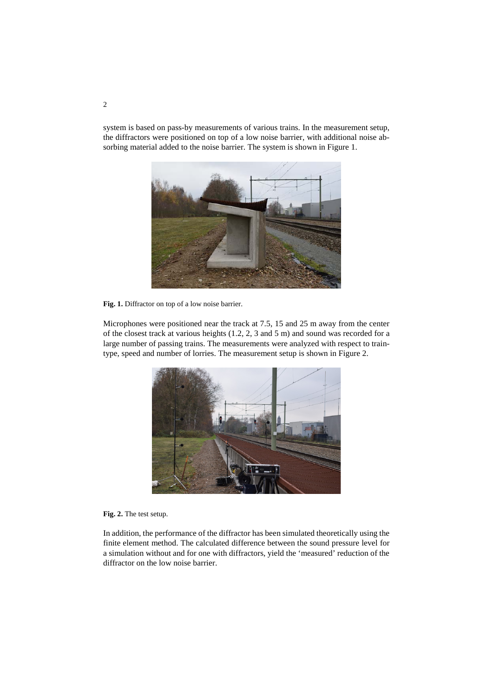system is based on pass-by measurements of various trains. In the measurement setup, the diffractors were positioned on top of a low noise barrier, with additional noise absorbing material added to the noise barrier. The system is shown in Figure 1.



**Fig. 1.** Diffractor on top of a low noise barrier.

Microphones were positioned near the track at 7.5, 15 and 25 m away from the center of the closest track at various heights (1.2, 2, 3 and 5 m) and sound was recorded for a large number of passing trains. The measurements were analyzed with respect to traintype, speed and number of lorries. The measurement setup is shown in Figure 2.



### **Fig. 2.** The test setup.

In addition, the performance of the diffractor has been simulated theoretically using the finite element method. The calculated difference between the sound pressure level for a simulation without and for one with diffractors, yield the 'measured' reduction of the diffractor on the low noise barrier.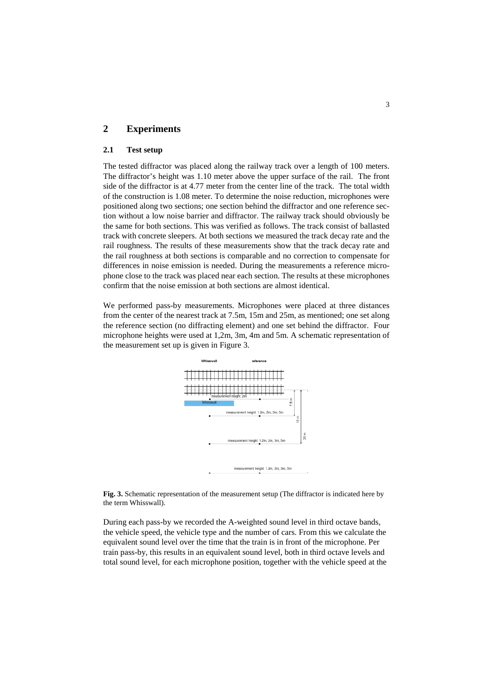# **2 Experiments**

## **2.1 Test setup**

The tested diffractor was placed along the railway track over a length of 100 meters. The diffractor's height was 1.10 meter above the upper surface of the rail. The front side of the diffractor is at 4.77 meter from the center line of the track. The total width of the construction is 1.08 meter. To determine the noise reduction, microphones were positioned along two sections; one section behind the diffractor and one reference section without a low noise barrier and diffractor. The railway track should obviously be the same for both sections. This was verified as follows. The track consist of ballasted track with concrete sleepers. At both sections we measured the track decay rate and the rail roughness. The results of these measurements show that the track decay rate and the rail roughness at both sections is comparable and no correction to compensate for differences in noise emission is needed. During the measurements a reference microphone close to the track was placed near each section. The results at these microphones confirm that the noise emission at both sections are almost identical.

We performed pass-by measurements. Microphones were placed at three distances from the center of the nearest track at 7.5m, 15m and 25m, as mentioned; one set along the reference section (no diffracting element) and one set behind the diffractor. Four microphone heights were used at 1,2m, 3m, 4m and 5m. A schematic representation of the measurement set up is given in Figure 3.



**Fig. 3.** Schematic representation of the measurement setup (The diffractor is indicated here by the term Whisswall).

During each pass-by we recorded the A-weighted sound level in third octave bands, the vehicle speed, the vehicle type and the number of cars. From this we calculate the equivalent sound level over the time that the train is in front of the microphone. Per train pass-by, this results in an equivalent sound level, both in third octave levels and total sound level, for each microphone position, together with the vehicle speed at the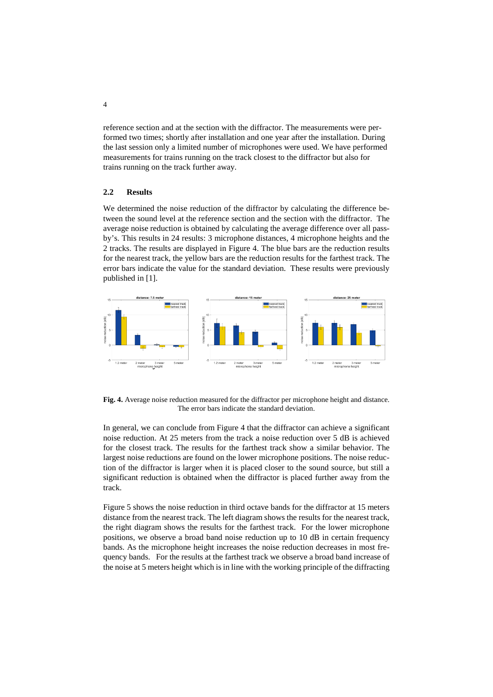reference section and at the section with the diffractor. The measurements were performed two times; shortly after installation and one year after the installation. During the last session only a limited number of microphones were used. We have performed measurements for trains running on the track closest to the diffractor but also for trains running on the track further away.

#### **2.2 Results**

We determined the noise reduction of the diffractor by calculating the difference between the sound level at the reference section and the section with the diffractor. The average noise reduction is obtained by calculating the average difference over all passby's. This results in 24 results: 3 microphone distances, 4 microphone heights and the 2 tracks. The results are displayed in Figure 4. The blue bars are the reduction results for the nearest track, the yellow bars are the reduction results for the farthest track. The error bars indicate the value for the standard deviation. These results were previously published in [1].



**Fig. 4.** Average noise reduction measured for the diffractor per microphone height and distance. The error bars indicate the standard deviation.

In general, we can conclude from Figure 4 that the diffractor can achieve a significant noise reduction. At 25 meters from the track a noise reduction over 5 dB is achieved for the closest track. The results for the farthest track show a similar behavior. The largest noise reductions are found on the lower microphone positions. The noise reduction of the diffractor is larger when it is placed closer to the sound source, but still a significant reduction is obtained when the diffractor is placed further away from the track.

Figure 5 shows the noise reduction in third octave bands for the diffractor at 15 meters distance from the nearest track. The left diagram shows the results for the nearest track, the right diagram shows the results for the farthest track. For the lower microphone positions, we observe a broad band noise reduction up to 10 dB in certain frequency bands. As the microphone height increases the noise reduction decreases in most frequency bands. For the results at the farthest track we observe a broad band increase of the noise at 5 meters height which is in line with the working principle of the diffracting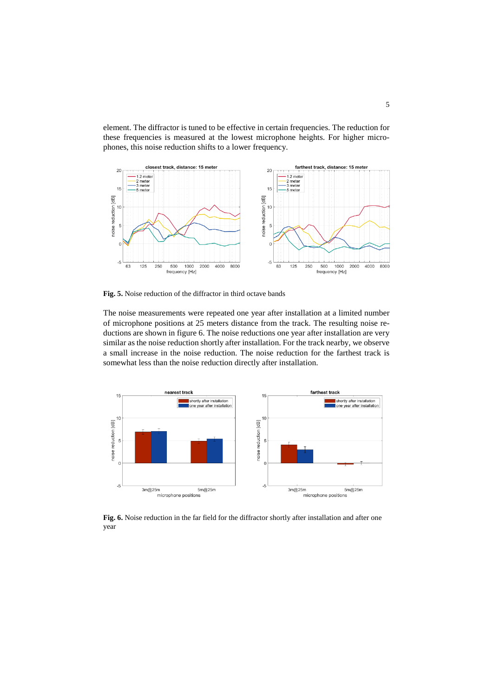element. The diffractor is tuned to be effective in certain frequencies. The reduction for these frequencies is measured at the lowest microphone heights. For higher microphones, this noise reduction shifts to a lower frequency.



**Fig. 5.** Noise reduction of the diffractor in third octave bands

The noise measurements were repeated one year after installation at a limited number of microphone positions at 25 meters distance from the track. The resulting noise reductions are shown in figure 6. The noise reductions one year after installation are very similar as the noise reduction shortly after installation. For the track nearby, we observe a small increase in the noise reduction. The noise reduction for the farthest track is somewhat less than the noise reduction directly after installation.



**Fig. 6.** Noise reduction in the far field for the diffractor shortly after installation and after one year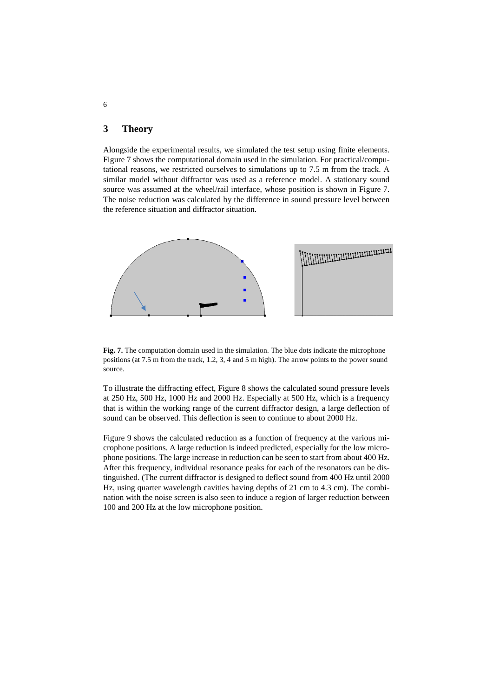# **3 Theory**

Alongside the experimental results, we simulated the test setup using finite elements. Figure 7 shows the computational domain used in the simulation. For practical/computational reasons, we restricted ourselves to simulations up to 7.5 m from the track. A similar model without diffractor was used as a reference model. A stationary sound source was assumed at the wheel/rail interface, whose position is shown in Figure 7. The noise reduction was calculated by the difference in sound pressure level between the reference situation and diffractor situation.



**Fig. 7.** The computation domain used in the simulation. The blue dots indicate the microphone positions (at 7.5 m from the track, 1.2, 3, 4 and 5 m high). The arrow points to the power sound source.

To illustrate the diffracting effect, Figure 8 shows the calculated sound pressure levels at 250 Hz, 500 Hz, 1000 Hz and 2000 Hz. Especially at 500 Hz, which is a frequency that is within the working range of the current diffractor design, a large deflection of sound can be observed. This deflection is seen to continue to about 2000 Hz.

Figure 9 shows the calculated reduction as a function of frequency at the various microphone positions. A large reduction is indeed predicted, especially for the low microphone positions. The large increase in reduction can be seen to start from about 400 Hz. After this frequency, individual resonance peaks for each of the resonators can be distinguished. (The current diffractor is designed to deflect sound from 400 Hz until 2000 Hz, using quarter wavelength cavities having depths of 21 cm to 4.3 cm). The combination with the noise screen is also seen to induce a region of larger reduction between 100 and 200 Hz at the low microphone position.

6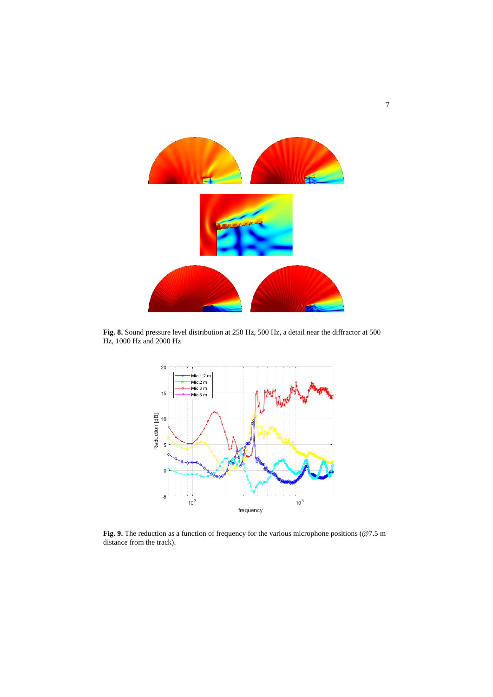

**Fig. 8.** Sound pressure level distribution at 250 Hz, 500 Hz, a detail near the diffractor at 500 Hz, 1000 Hz and 2000 Hz



Fig. 9. The reduction as a function of frequency for the various microphone positions (@7.5 m distance from the track).